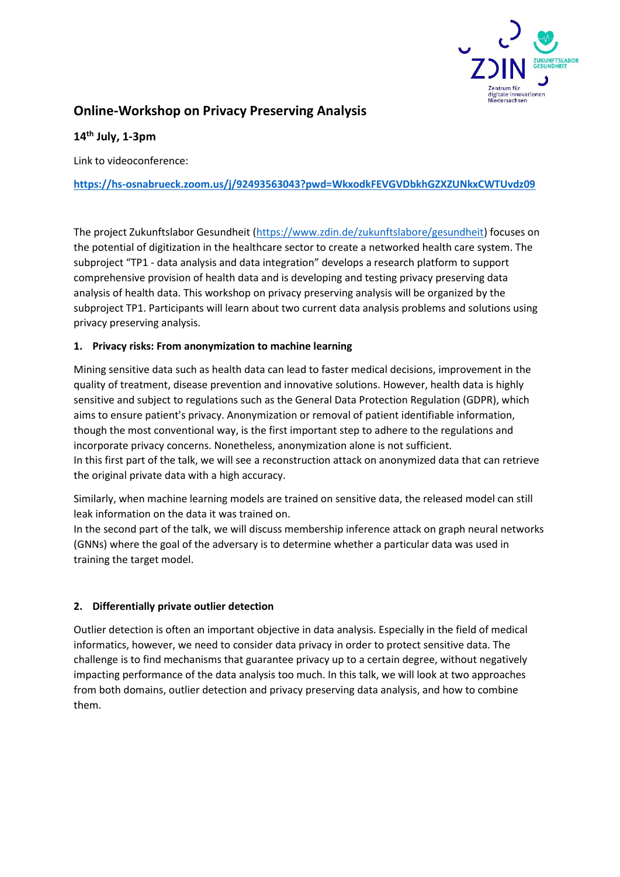

# **Online-Workshop on Privacy Preserving Analysis**

## **14th July, 1-3pm**

Link to videoconference:

#### **<https://hs-osnabrueck.zoom.us/j/92493563043?pwd=WkxodkFEVGVDbkhGZXZUNkxCWTUvdz09>**

The project Zukunftslabor Gesundheit [\(https://www.zdin.de/zukunftslabore/gesundheit\)](https://www.zdin.de/zukunftslabore/gesundheit) focuses on the potential of digitization in the healthcare sector to create a networked health care system. The subproject "TP1 - data analysis and data integration" develops a research platform to support comprehensive provision of health data and is developing and testing privacy preserving data analysis of health data. This workshop on privacy preserving analysis will be organized by the subproject TP1. Participants will learn about two current data analysis problems and solutions using privacy preserving analysis.

#### **1. Privacy risks: From anonymization to machine learning**

Mining sensitive data such as health data can lead to faster medical decisions, improvement in the quality of treatment, disease prevention and innovative solutions. However, health data is highly sensitive and subject to regulations such as the General Data Protection Regulation (GDPR), which aims to ensure patient's privacy. Anonymization or removal of patient identifiable information, though the most conventional way, is the first important step to adhere to the regulations and incorporate privacy concerns. Nonetheless, anonymization alone is not sufficient. In this first part of the talk, we will see a reconstruction attack on anonymized data that can retrieve the original private data with a high accuracy.

Similarly, when machine learning models are trained on sensitive data, the released model can still leak information on the data it was trained on.

In the second part of the talk, we will discuss membership inference attack on graph neural networks (GNNs) where the goal of the adversary is to determine whether a particular data was used in training the target model.

### **2. Differentially private outlier detection**

Outlier detection is often an important objective in data analysis. Especially in the field of medical informatics, however, we need to consider data privacy in order to protect sensitive data. The challenge is to find mechanisms that guarantee privacy up to a certain degree, without negatively impacting performance of the data analysis too much. In this talk, we will look at two approaches from both domains, outlier detection and privacy preserving data analysis, and how to combine them.